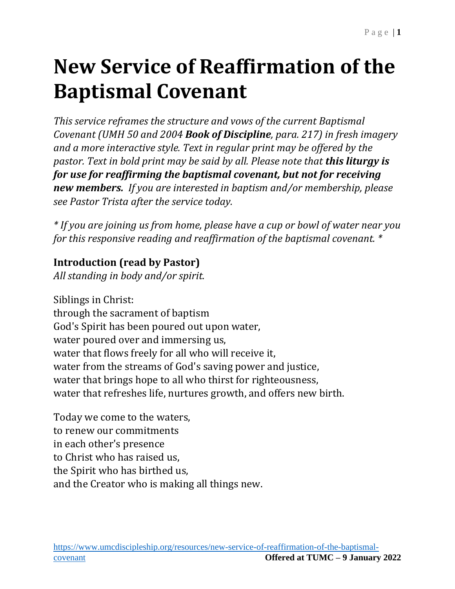# **New Service of Reaffirmation of the Baptismal Covenant**

*This service reframes the structure and vows of the current Baptismal Covenant (UMH 50 and 2004 Book of Discipline, para. 217) in fresh imagery and a more interactive style. Text in regular print may be offered by the pastor. Text in bold print may be said by all. Please note that this liturgy is for use for reaffirming the baptismal covenant, but not for receiving new members. If you are interested in baptism and/or membership, please see Pastor Trista after the service today.*

*\* If you are joining us from home, please have a cup or bowl of water near you for this responsive reading and reaffirmation of the baptismal covenant. \**

#### **Introduction (read by Pastor)**

*All standing in body and/or spirit.*

Siblings in Christ: through the sacrament of baptism God's Spirit has been poured out upon water, water poured over and immersing us, water that flows freely for all who will receive it, water from the streams of God's saving power and justice, water that brings hope to all who thirst for righteousness, water that refreshes life, nurtures growth, and offers new birth.

Today we come to the waters, to renew our commitments in each other's presence to Christ who has raised us, the Spirit who has birthed us, and the Creator who is making all things new.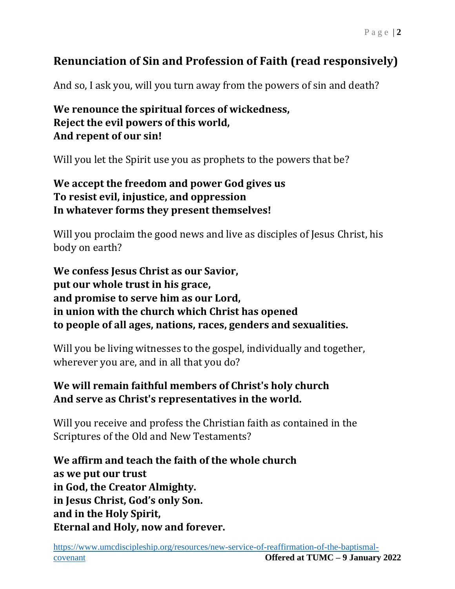### **Renunciation of Sin and Profession of Faith (read responsively)**

And so, I ask you, will you turn away from the powers of sin and death?

#### **We renounce the spiritual forces of wickedness, Reject the evil powers of this world, And repent of our sin!**

Will you let the Spirit use you as prophets to the powers that be?

#### **We accept the freedom and power God gives us To resist evil, injustice, and oppression In whatever forms they present themselves!**

Will you proclaim the good news and live as disciples of Jesus Christ, his body on earth?

**We confess Jesus Christ as our Savior, put our whole trust in his grace, and promise to serve him as our Lord, in union with the church which Christ has opened to people of all ages, nations, races, genders and sexualities.**

Will you be living witnesses to the gospel, individually and together, wherever you are, and in all that you do?

#### **We will remain faithful members of Christ's holy church And serve as Christ's representatives in the world.**

Will you receive and profess the Christian faith as contained in the Scriptures of the Old and New Testaments?

**We affirm and teach the faith of the whole church as we put our trust in God, the Creator Almighty. in Jesus Christ, God's only Son. and in the Holy Spirit, Eternal and Holy, now and forever.**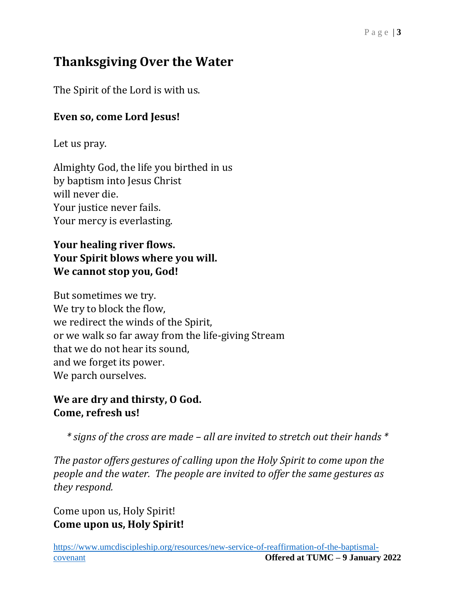## **Thanksgiving Over the Water**

The Spirit of the Lord is with us.

#### **Even so, come Lord Jesus!**

Let us pray.

Almighty God, the life you birthed in us by baptism into Jesus Christ will never die. Your justice never fails. Your mercy is everlasting.

#### **Your healing river flows. Your Spirit blows where you will. We cannot stop you, God!**

But sometimes we try. We try to block the flow, we redirect the winds of the Spirit, or we walk so far away from the life-giving Stream that we do not hear its sound, and we forget its power. We parch ourselves.

#### **We are dry and thirsty, O God. Come, refresh us!**

*\* signs of the cross are made – all are invited to stretch out their hands \**

*The pastor offers gestures of calling upon the Holy Spirit to come upon the people and the water. The people are invited to offer the same gestures as they respond.*

Come upon us, Holy Spirit! **Come upon us, Holy Spirit!**